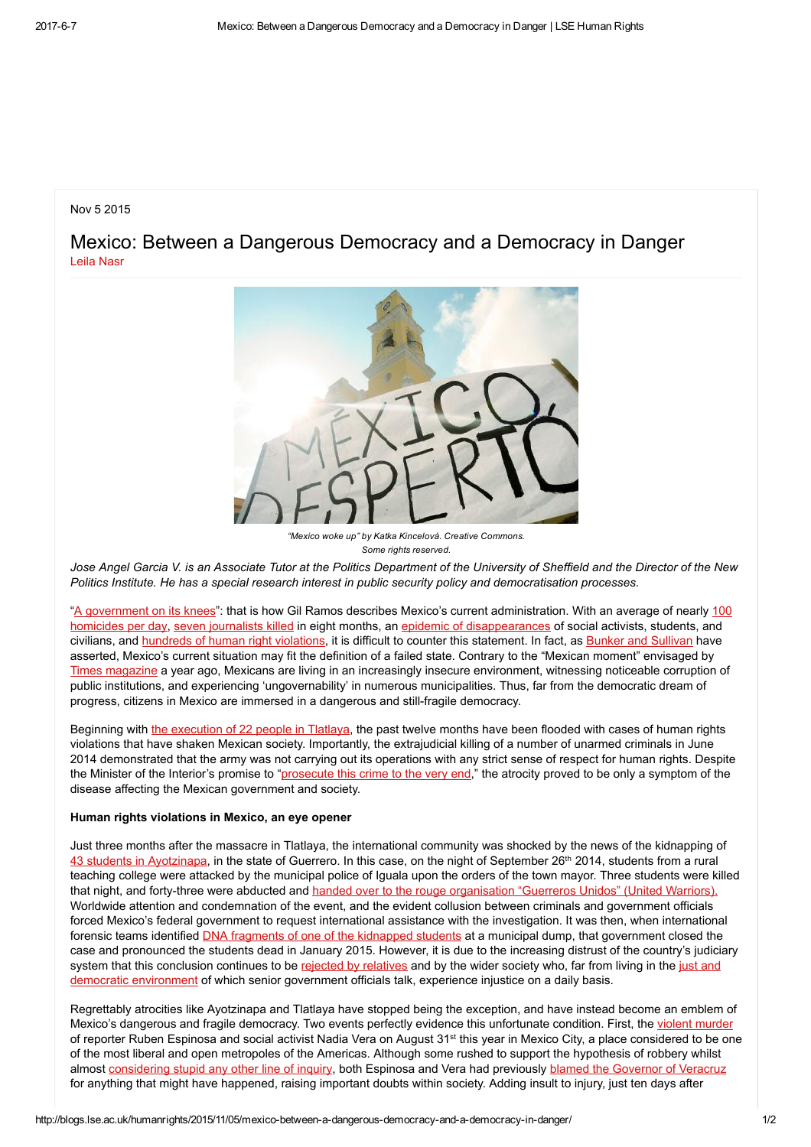## Nov 5 2015

Mexico: Between a Dangerous Democracy and a Democracy in Danger Leila [Nasr](http://blogs.lse.ac.uk/humanrights/author/nasrl/)



"Mexico woke up" by Katka Kincelová. Creative Commons. Some rights reserved.

Jose Angel Garcia V. is an Associate Tutor at the Politics Department of the University of Sheffield and the Director of the New Politics Institute. He has a special research interest in public security policy and democratisation processes.

"A [government](https://www.google.co.uk/url?sa=t&rct=j&q=&esrc=s&source=web&cd=1&cad=rja&uact=8&ved=0CCAQFjAAahUKEwjhmb-cpvHIAhWB2RoKHc_fByU&url=http%3A%2F%2Fwww.elfinanciero.com.mx%2Fopinion%2Fun-gobierno-de-rodillas.html&usg=AFQjCNHUAUnijkyfPtGjenlDPNr8JCxD_A&sig2=3NsL) on its knees": that is how Gil Ramos describes Mexico's current administration. With an average of nearly 100 homicides per day, seven [journalists](http://en.rsf.org/mexico-three-journalists-murdered-in-one-03-07-2015,48067.html) killed in eight months, an epidemic of [disappearances](http://secretariadoejecutivo.gob.mx/docs/pdfs/victimas/Victimas2015_062015.pdf) of social activists, students, and civilians, and hundreds of human right [violations,](http://www.animalpolitico.com/2015/05/mexico-el-pais-con-mas-denuncias-de-violaciones-de-derechos-ante-la-cidh/) it is difficult to counter this statement. In fact, as Bunker and [Sullivan](http://www.google.co.uk/url?sa=t&rct=j&q=&esrc=s&source=web&cd=4&ved=0CC8QFjADahUKEwicr6qM_OnIAhVBVhQKHerhBvg&url=http://smallwarsjournal.com/blog/journal/docs-temp/84-sullivan.pdf?q=mag/docs-temp/84-sullivan.pdf&usg=AFQjCNEX-slluFie-KWSDRhb0cRE7-3z4Q&bvm=bv.106379543,d.d24&safe=active) have asserted, Mexico's current situation may fit the definition of a failed state. Contrary to the "Mexican moment" envisaged by Times [magazine](http://content.time.com/time/covers/pacific/0,16641,20140224,00.html) a year ago, Mexicans are living in an increasingly insecure environment, witnessing noticeable corruption of public institutions, and experiencing 'ungovernability' in numerous municipalities. Thus, far from the democratic dream of progress, citizens in Mexico are immersed in a dangerous and still-fragile democracy.

Beginning with the [execution](http://www.animalpolitico.com/2014/10/ejercito-ejecuto-15-de-los-22-muertos-en-tlatlaya-afirma-cndh-en-recomendacion-dirigida-sedena-pgr-y-edomex/) of 22 people in Tlatlaya, the past twelve months have been flooded with cases of human rights violations that have shaken Mexican society. Importantly, the extrajudicial killing of a number of unarmed criminals in June 2014 demonstrated that the army was not carrying out its operations with any strict sense of respect for human rights. Despite the Minister of the Interior's promise to ["prosecute](http://mexico.cnn.com/nacional/2014/09/26/el-caso-tlatlaya-desafia-la-estrategia-de-seguridad-de-pena-analistas) this crime to the very end," the atrocity proved to be only a symptom of the disease affecting the Mexican government and society.

## Human rights violations in Mexico, an eye opener

Just three months after the massacre in Tlatlaya, the international community was shocked by the news of the kidnapping of 43 students in [Ayotzinapa,](https://news.vice.com/article/ayotzinapa-a-timeline-of-the-mass-disappearance-that-has-shaken-mexico) in the state of Guerrero. In this case, on the night of September 26<sup>th</sup> 2014, students from a rural teaching college were attacked by the municipal police of Iguala upon the orders of the town mayor. Three students were killed that night, and forty-three were abducted and handed over to the rouge [organisation](http://www.bbc.co.uk/news/world-latin-america-30859925) "Guerreros Unidos" (United Warriors). Worldwide attention and condemnation of the event, and the evident collusion between criminals and government officials forced Mexico's federal government to request international assistance with the investigation. It was then, when international forensic teams identified **DNA** fragments of one of the [kidnapped](http://www.foxnews.com/world/2015/01/20/mexico-tests-yield-no-more-usable-dna-students-remains-last-attempt-may-destroy/) students at a municipal dump, that government closed the case and pronounced the students dead in January 2015. However, it is due to the increasing distrust of the country's judiciary system that this conclusion continues to be rejected by [relatives](http://www.independent.co.uk/news/world/americas/mexican-authorities-pronounce-43-missing-students-dead-but-parents-reject-murder-theory-10007294.html) and by the wider society who, far from living in the just and democratic [environment](http://www.cnnexpansion.com/economia/2015/05/07/en-mexico-si-hay-estado-de-derecho-videgaray) of which senior government officials talk, experience injustice on a daily basis.

Regrettably atrocities like Ayotzinapa and Tlatlaya have stopped being the exception, and have instead become an emblem of Mexico's dangerous and fragile democracy. Two events perfectly evidence this unfortunate condition. First, the violent [murder](http://www.theguardian.com/global-development/2015/aug/20/mexico-city-murders-put-defenders-of-womens-rights-on-high-alert) of reporter Ruben Espinosa and social activist Nadia Vera on August 31<sup>st</sup> this year in Mexico City, a place considered to be one of the most liberal and open metropoles of the Americas. Although some rushed to support the hypothesis of robbery whilst almost [considering](http://www.eluniversal.com.mx/entrada-de-opinion/columna/ricardo-aleman/nacion/2015/08/10/fue-un-vulgar-robo-nada-implica-duarte) stupid any other line of inquiry, both Espinosa and Vera had previously blamed the [Governor](http://www.telesurtv.net/english/news/Two-Murder-Victims-Denounced-Veracruz-Govt-Threats-20150804-0007.html) of Veracruz for anything that might have happened, raising important doubts within society. Adding insult to injury, just ten days after